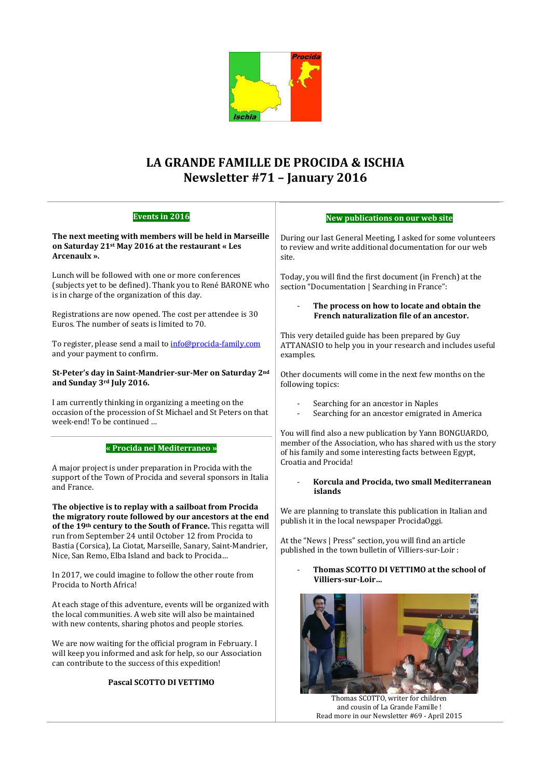

# **LA GRANDE FAMILLE DE PROCIDA & ISCHIA Newsletter #71 – January 2016**

| <b>Events in 2016</b>                                                                                                                                                                | New publications on our web site                                                                                                                                                                                                                                                       |
|--------------------------------------------------------------------------------------------------------------------------------------------------------------------------------------|----------------------------------------------------------------------------------------------------------------------------------------------------------------------------------------------------------------------------------------------------------------------------------------|
| The next meeting with members will be held in Marseille<br>on Saturday 21st May 2016 at the restaurant « Les<br>Arcenaulx ».                                                         | During our last General Meeting, I asked for some volunteers<br>to review and write additional documentation for our web<br>site.                                                                                                                                                      |
| Lunch will be followed with one or more conferences<br>(subjects yet to be defined). Thank you to René BARONE who<br>is in charge of the organization of this day.                   | Today, you will find the first document (in French) at the<br>section "Documentation   Searching in France":                                                                                                                                                                           |
| Registrations are now opened. The cost per attendee is 30<br>Euros. The number of seats is limited to 70.                                                                            | The process on how to locate and obtain the<br>French naturalization file of an ancestor.                                                                                                                                                                                              |
| To register, please send a mail to info@procida-family.com<br>and your payment to confirm.                                                                                           | This very detailed guide has been prepared by Guy<br>ATTANASIO to help you in your research and includes useful<br>examples.                                                                                                                                                           |
| St-Peter's day in Saint-Mandrier-sur-Mer on Saturday 2nd<br>and Sunday 3rd July 2016.                                                                                                | Other documents will come in the next few months on the<br>following topics:                                                                                                                                                                                                           |
| I am currently thinking in organizing a meeting on the<br>occasion of the procession of St Michael and St Peters on that<br>week-end! To be continued                                | Searching for an ancestor in Naples<br>Searching for an ancestor emigrated in America                                                                                                                                                                                                  |
| « Procida nel Mediterraneo »<br>A major project is under preparation in Procida with the<br>support of the Town of Procida and several sponsors in Italia<br>and France.             | You will find also a new publication by Yann BONGUARDO,<br>member of the Association, who has shared with us the story<br>of his family and some interesting facts between Egypt,<br>Croatia and Procida!<br>Korcula and Procida, two small Mediterranean<br>$\blacksquare$<br>islands |
| The objective is to replay with a sailboat from Procida<br>the migratory route followed by our ancestors at the end<br>of the 19th century to the South of France. This regatta will | We are planning to translate this publication in Italian and<br>publish it in the local newspaper ProcidaOggi.                                                                                                                                                                         |
| run from September 24 until October 12 from Procida to<br>Bastia (Corsica), La Ciotat, Marseille, Sanary, Saint-Mandrier,<br>Nice, San Remo, Elba Island and back to Procida         | At the "News   Press" section, you will find an article<br>published in the town bulletin of Villiers-sur-Loir:                                                                                                                                                                        |
| In 2017, we could imagine to follow the other route from<br>Procida to North Africa!                                                                                                 | Thomas SCOTTO DI VETTIMO at the school of<br>Villiers-sur-Loir                                                                                                                                                                                                                         |
| At each stage of this adventure, events will be organized with<br>the local communities. A web site will also be maintained<br>with new contents, sharing photos and people stories. | $\frac{1}{2} \int_{-\infty}^{\infty}$                                                                                                                                                                                                                                                  |
| We are now waiting for the official program in February. I<br>will keep you informed and ask for help, so our Association<br>can contribute to the success of this expedition!       |                                                                                                                                                                                                                                                                                        |
| Pascal SCOTTO DI VETTIMO                                                                                                                                                             | Thomas SCOTTO writer for children                                                                                                                                                                                                                                                      |

ıs SCOTTO, writer for childı and cousin of La Grande Famille ! Read more in our Newsletter #69 - April 2015